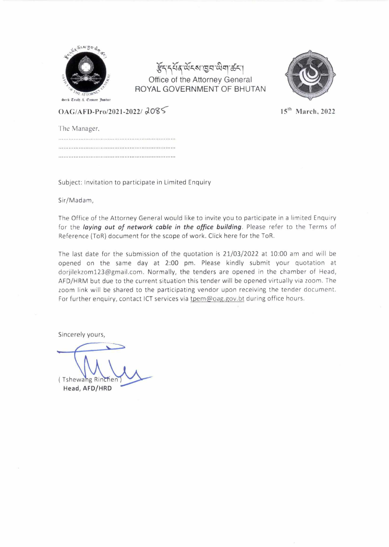

हैंदद्भव संदय ख़िया सेवा करा Office of the Attorney General ROYAL GOVERNMENT OF BHUTAN



**OAG/AFD-Pro/2021-2022/ 2085** 15<sup>th</sup> March, 2022

The Manager. 

Subject: Invitation to participate in Limited Enquiry

Sir/Madam,

The Office of the Attorney General would like to invite you to participate in a limited Enquiry for the *laying out of network cable in the office building.* Please refer to the Terms of Reference (ToR) document for the scope of work. Click here for the ToR.

The last date for the submission of the quotation is 21/03/2022 at 10:00 am and will be opened on the same day at 2:00 pm. Please kindly submit your quotation at dorjilekzom123@gmail.com. Normally, the tenders are opened in the chamber of Head, AFD/HRM but due to the current situation this tender will be opened virtually via zoom. The zoom link will be shared to the participating vendor upon receiving the tender document. For further enquiry, contact ICT services via tpem@oag.gov.bt during office hours.

Sincerely yours,

(Tshewang Rincher **Head, AFD/HRD**